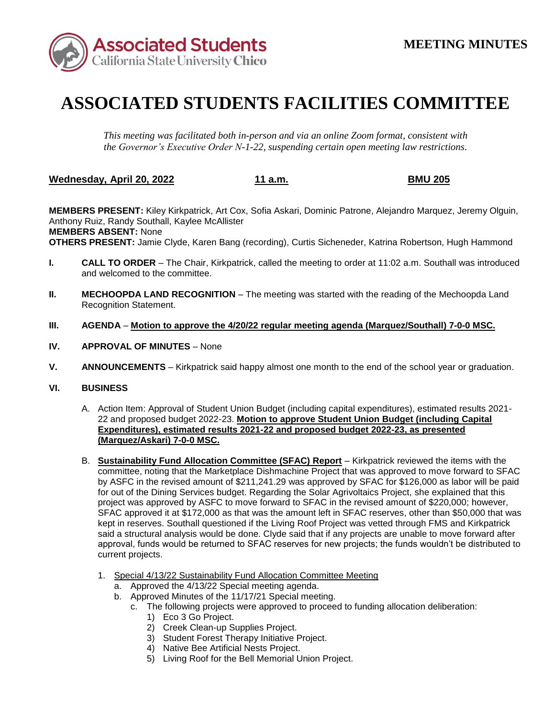

## **ASSOCIATED STUDENTS FACILITIES COMMITTEE**

*This meeting was facilitated both in-person and via an online Zoom format, consistent with the Governor's Executive Order N-1-22, suspending certain open meeting law restrictions.* 

**Wednesday, April 20, 2022 11 a.m. BMU 205** 

**MEMBERS PRESENT:** Kiley Kirkpatrick, Art Cox, Sofia Askari, Dominic Patrone, Alejandro Marquez, Jeremy Olguin, Anthony Ruiz, Randy Southall, Kaylee McAllister **MEMBERS ABSENT:** None **OTHERS PRESENT:** Jamie Clyde, Karen Bang (recording), Curtis Sicheneder, Katrina Robertson, Hugh Hammond

- **I. CALL TO ORDER**  The Chair, Kirkpatrick, called the meeting to order at 11:02 a.m. Southall was introduced and welcomed to the committee.
- **II.** MECHOOPDA LAND RECOGNITION The meeting was started with the reading of the Mechoopda Land Recognition Statement.
- **III. AGENDA Motion to approve the 4/20/22 regular meeting agenda (Marquez/Southall) 7-0-0 MSC.**
- **IV. APPROVAL OF MINUTES**  None
- **V. ANNOUNCEMENTS**  Kirkpatrick said happy almost one month to the end of the school year or graduation.

## **VI. BUSINESS**

- A. Action Item: Approval of Student Union Budget (including capital expenditures), estimated results 2021- 22 and proposed budget 2022-23. **Motion to approve Student Union Budget (including Capital Expenditures), estimated results 2021-22 and proposed budget 2022-23, as presented (Marquez/Askari) 7-0-0 MSC.**
- by ASFC in the revised amount of \$211,241.29 was approved by SFAC for \$126,000 as labor will be paid said a structural analysis would be done. Clyde said that if any projects are unable to move forward after B. **Sustainability Fund Allocation Committee (SFAC) Report** – Kirkpatrick reviewed the items with the committee, noting that the Marketplace Dishmachine Project that was approved to move forward to SFAC for out of the Dining Services budget. Regarding the Solar Agrivoltaics Project, she explained that this project was approved by ASFC to move forward to SFAC in the revised amount of \$220,000; however, SFAC approved it at \$172,000 as that was the amount left in SFAC reserves, other than \$50,000 that was kept in reserves. Southall questioned if the Living Roof Project was vetted through FMS and Kirkpatrick approval, funds would be returned to SFAC reserves for new projects; the funds wouldn't be distributed to current projects.
	- 1. Special 4/13/22 Sustainability Fund Allocation Committee Meeting
		- a. Approved the 4/13/22 Special meeting agenda.
		- b. Approved Minutes of the 11/17/21 Special meeting.
			- c. The following projects were approved to proceed to funding allocation deliberation:
				- 1) Eco 3 Go Project.
				- 2) Creek Clean-up Supplies Project.
				- 3) Student Forest Therapy Initiative Project.
				- 4) Native Bee Artificial Nests Project.
				- 5) Living Roof for the Bell Memorial Union Project.